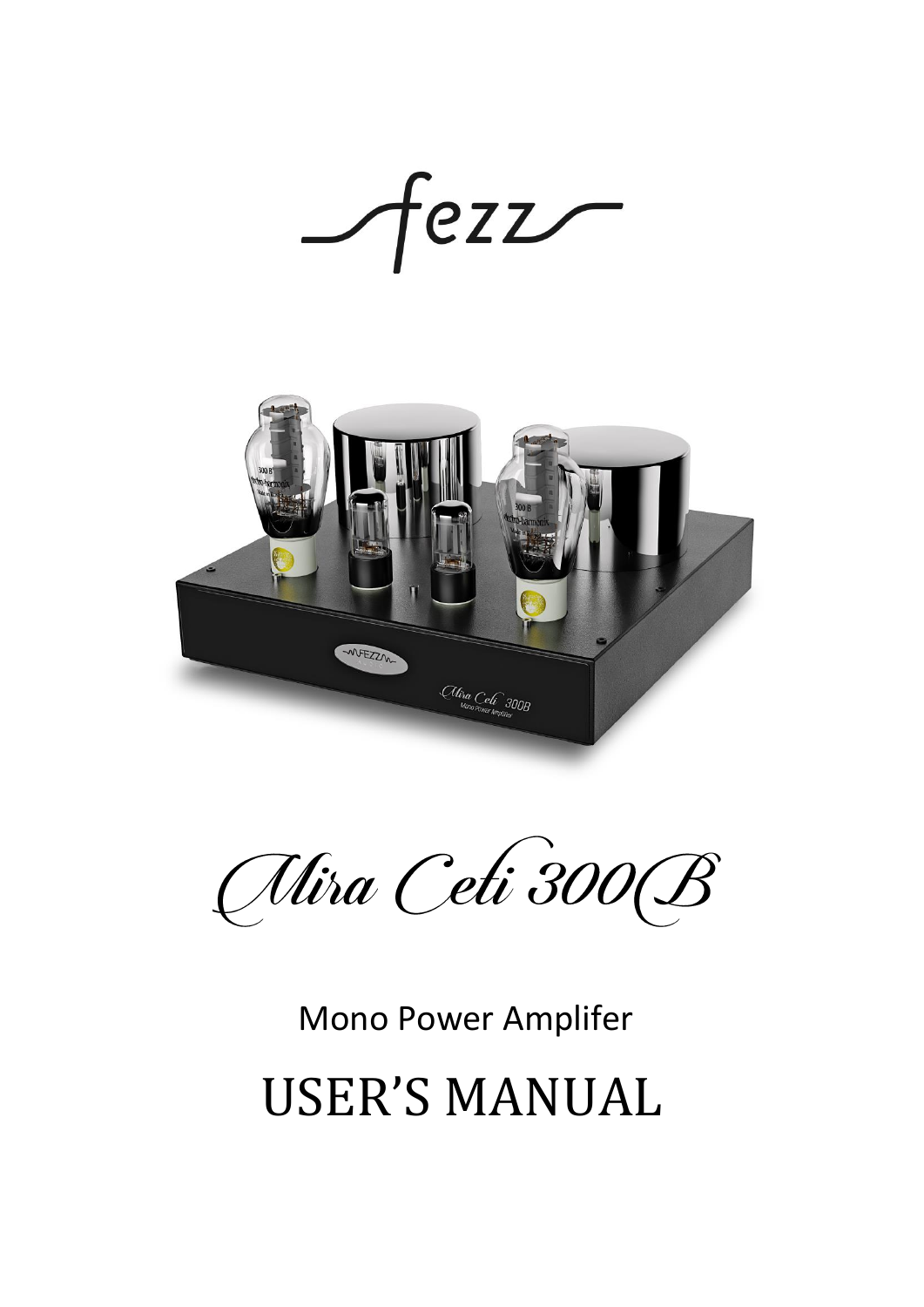$-$ fezz $-$ 



Alira Ceti 300 B

# Mono Power Amplifer USER'S MANUAL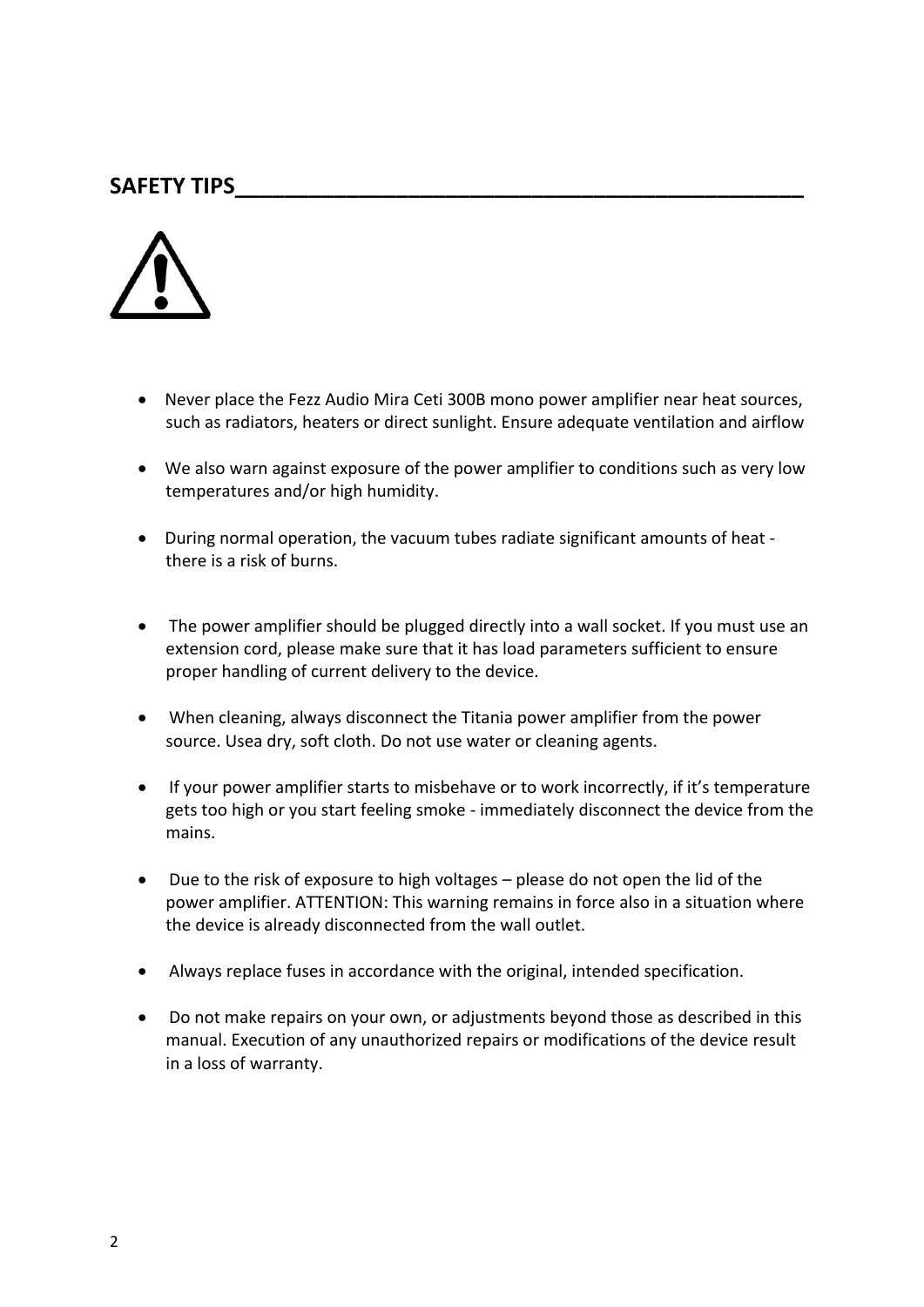#### **SAFETY TIPS\_\_\_\_\_\_\_\_\_\_\_\_\_\_\_\_\_\_\_\_\_\_\_\_\_\_\_\_\_\_\_\_\_\_\_\_\_\_\_\_\_\_\_\_\_\_**



- Never place the Fezz Audio Mira Ceti 300B mono power amplifier near heat sources, such as radiators, heaters or direct sunlight. Ensure adequate ventilation and airflow
- We also warn against exposure of the power amplifier to conditions such as very low temperatures and/or high humidity.
- During normal operation, the vacuum tubes radiate significant amounts of heat there is a risk of burns.
- The power amplifier should be plugged directly into a wall socket. If you must use an extension cord, please make sure that it has load parameters sufficient to ensure proper handling of current delivery to the device.
- When cleaning, always disconnect the Titania power amplifier from the power source. Usea dry, soft cloth. Do not use water or cleaning agents.
- If your power amplifier starts to misbehave or to work incorrectly, if it's temperature gets too high or you start feeling smoke - immediately disconnect the device from the mains.
- Due to the risk of exposure to high voltages please do not open the lid of the power amplifier. ATTENTION: This warning remains in force also in a situation where the device is already disconnected from the wall outlet.
- Always replace fuses in accordance with the original, intended specification.
- Do not make repairs on your own, or adjustments beyond those as described in this manual. Execution of any unauthorized repairs or modifications of the device result in a loss of warranty.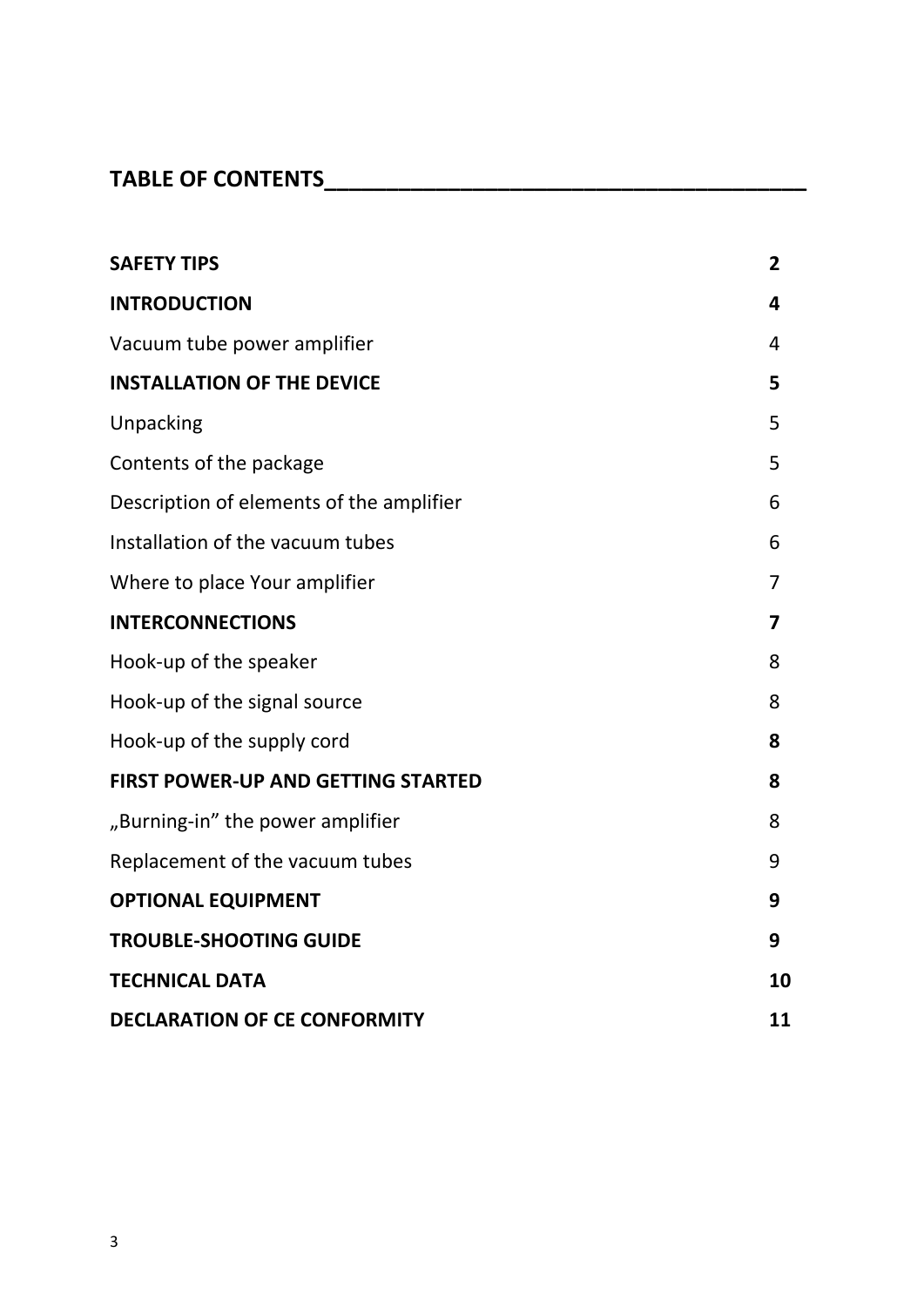## **TABLE OF CONTENTS\_\_\_\_\_\_\_\_\_\_\_\_\_\_\_\_\_\_\_\_\_\_\_\_\_\_\_\_\_\_\_\_\_\_\_\_\_\_\_**

| <b>SAFETY TIPS</b>                        | $\overline{2}$ |
|-------------------------------------------|----------------|
| <b>INTRODUCTION</b>                       | 4              |
| Vacuum tube power amplifier               | 4              |
| <b>INSTALLATION OF THE DEVICE</b>         | 5              |
| Unpacking                                 | 5              |
| Contents of the package                   | 5              |
| Description of elements of the amplifier  | 6              |
| Installation of the vacuum tubes          | 6              |
| Where to place Your amplifier             | 7              |
| <b>INTERCONNECTIONS</b>                   | 7              |
| Hook-up of the speaker                    | 8              |
| Hook-up of the signal source              | 8              |
| Hook-up of the supply cord                | 8              |
| <b>FIRST POWER-UP AND GETTING STARTED</b> | 8              |
| "Burning-in" the power amplifier          | 8              |
| Replacement of the vacuum tubes           | 9              |
| <b>OPTIONAL EQUIPMENT</b>                 | 9              |
| <b>TROUBLE-SHOOTING GUIDE</b>             | 9              |
| <b>TECHNICAL DATA</b>                     | 10             |
| <b>DECLARATION OF CE CONFORMITY</b>       |                |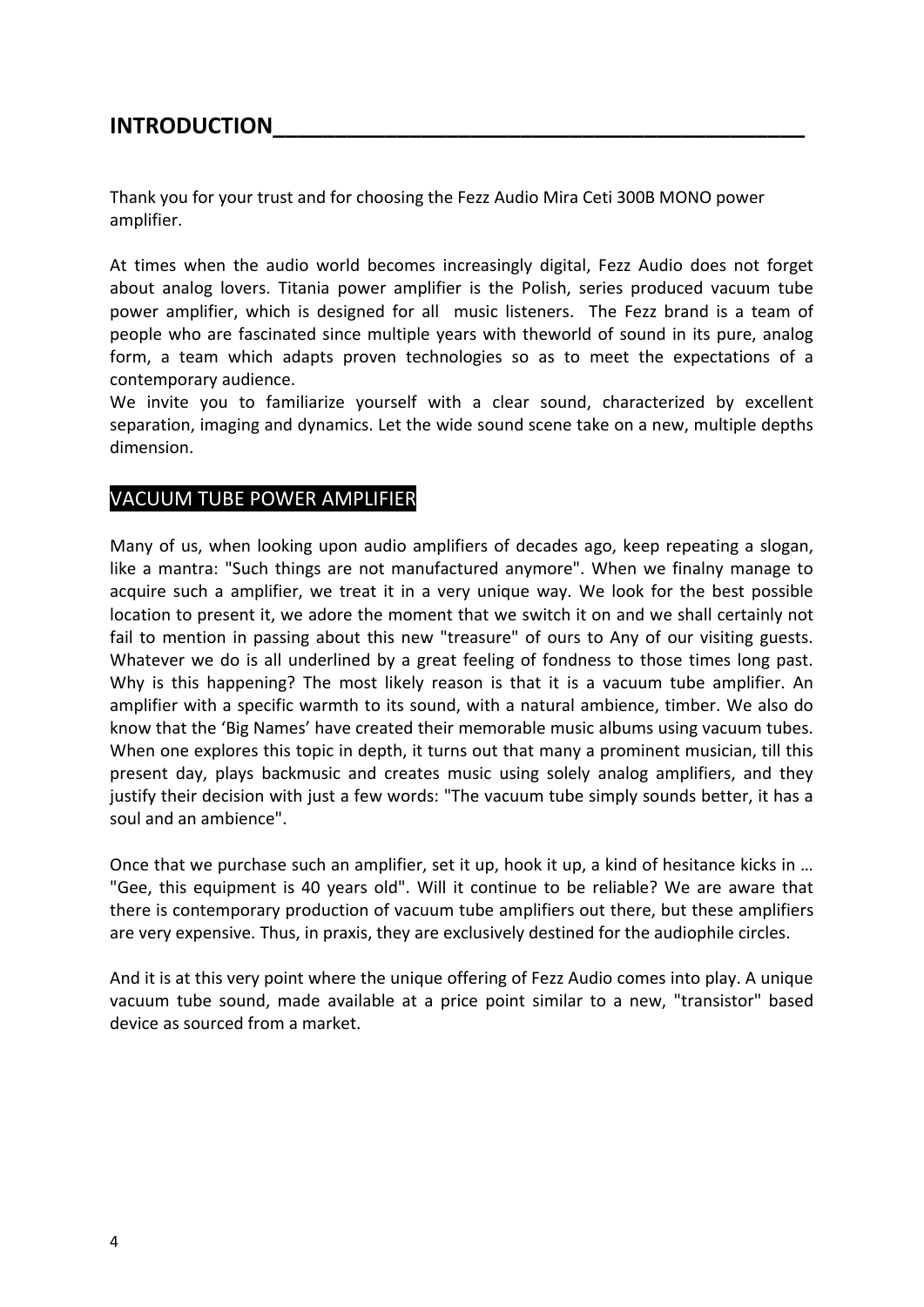#### **INTRODUCTION**

Thank you for your trust and for choosing the Fezz Audio Mira Ceti 300B MONO power amplifier.

At times when the audio world becomes increasingly digital, Fezz Audio does not forget about analog lovers. Titania power amplifier is the Polish, series produced vacuum tube power amplifier, which is designed for all music listeners. The Fezz brand is a team of people who are fascinated since multiple years with theworld of sound in its pure, analog form, a team which adapts proven technologies so as to meet the expectations of a contemporary audience.

We invite you to familiarize yourself with a clear sound, characterized by excellent separation, imaging and dynamics. Let the wide sound scene take on a new, multiple depths dimension.

#### VACUUM TUBE POWER AMPLIFIER

Many of us, when looking upon audio amplifiers of decades ago, keep repeating a slogan, like a mantra: "Such things are not manufactured anymore". When we finalny manage to acquire such a amplifier, we treat it in a very unique way. We look for the best possible location to present it, we adore the moment that we switch it on and we shall certainly not fail to mention in passing about this new "treasure" of ours to Any of our visiting guests. Whatever we do is all underlined by a great feeling of fondness to those times long past. Why is this happening? The most likely reason is that it is a vacuum tube amplifier. An amplifier with a specific warmth to its sound, with a natural ambience, timber. We also do know that the 'Big Names' have created their memorable music albums using vacuum tubes. When one explores this topic in depth, it turns out that many a prominent musician, till this present day, plays backmusic and creates music using solely analog amplifiers, and they justify their decision with just a few words: "The vacuum tube simply sounds better, it has a soul and an ambience".

Once that we purchase such an amplifier, set it up, hook it up, a kind of hesitance kicks in … "Gee, this equipment is 40 years old". Will it continue to be reliable? We are aware that there is contemporary production of vacuum tube amplifiers out there, but these amplifiers are very expensive. Thus, in praxis, they are exclusively destined for the audiophile circles.

And it is at this very point where the unique offering of Fezz Audio comes into play. A unique vacuum tube sound, made available at a price point similar to a new, "transistor" based device as sourced from a market.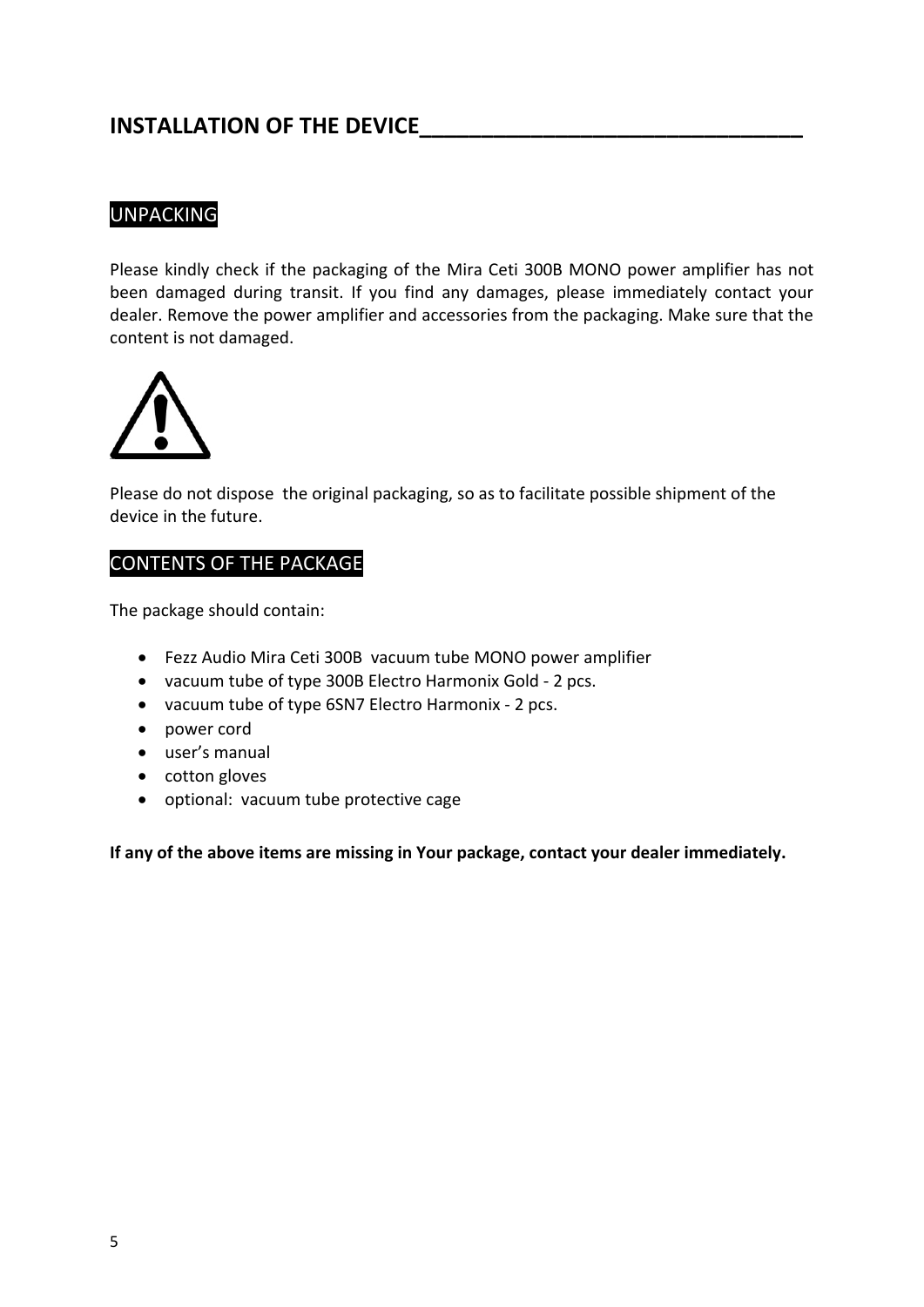#### **INSTALLATION OF THE DEVICE**

#### UNPACKING

Please kindly check if the packaging of the Mira Ceti 300B MONO power amplifier has not been damaged during transit. If you find any damages, please immediately contact your dealer. Remove the power amplifier and accessories from the packaging. Make sure that the content is not damaged.



Please do not dispose the original packaging, so as to facilitate possible shipment of the device in the future.

#### CONTENTS OF THE PACKAGE

The package should contain:

- Fezz Audio Mira Ceti 300B vacuum tube MONO power amplifier
- vacuum tube of type 300B Electro Harmonix Gold 2 pcs.
- vacuum tube of type 6SN7 Electro Harmonix 2 pcs.
- power cord
- user's manual
- cotton gloves
- optional: vacuum tube protective cage

**If any of the above items are missing in Your package, contact your dealer immediately.**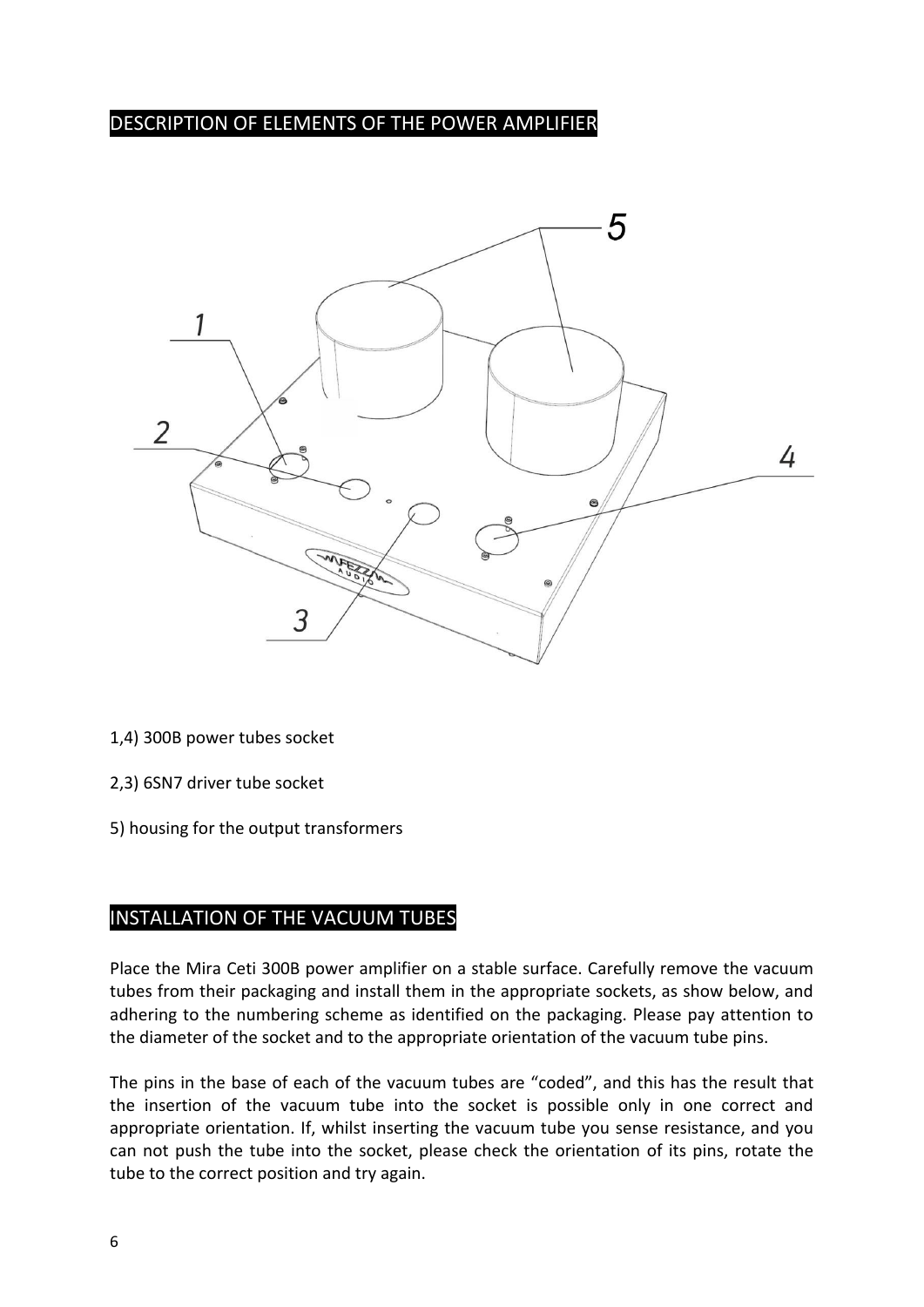#### DESCRIPTION OF ELEMENTS OF THE POWER AMPLIFIER



- 1,4) 300B power tubes socket
- 2,3) 6SN7 driver tube socket
- 5) housing for the output transformers

#### INSTALLATION OF THE VACUUM TUBES

Place the Mira Ceti 300B power amplifier on a stable surface. Carefully remove the vacuum tubes from their packaging and install them in the appropriate sockets, as show below, and adhering to the numbering scheme as identified on the packaging. Please pay attention to the diameter of the socket and to the appropriate orientation of the vacuum tube pins.

The pins in the base of each of the vacuum tubes are "coded", and this has the result that the insertion of the vacuum tube into the socket is possible only in one correct and appropriate orientation. If, whilst inserting the vacuum tube you sense resistance, and you can not push the tube into the socket, please check the orientation of its pins, rotate the tube to the correct position and try again.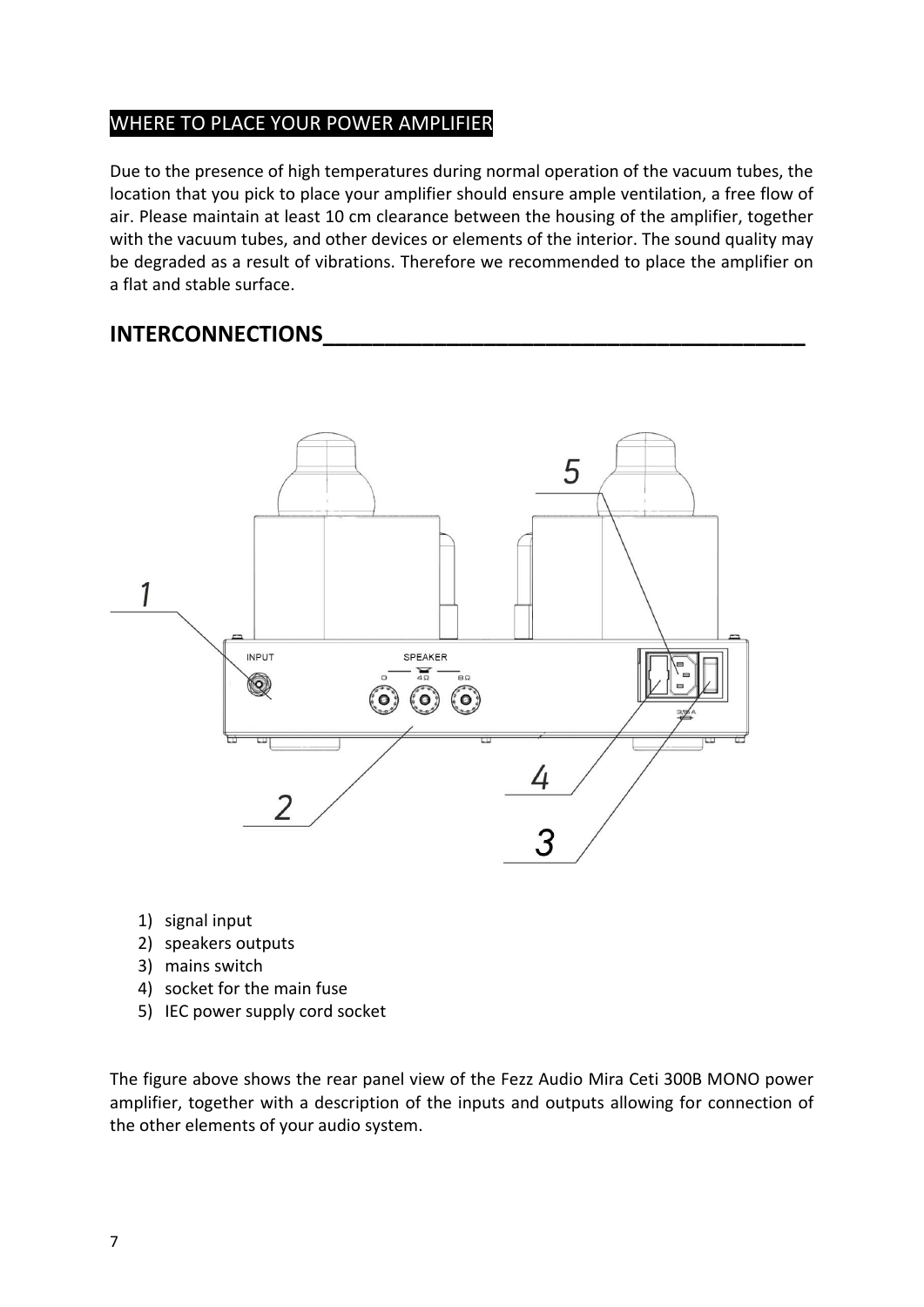#### WHERE TO PLACE YOUR POWER AMPLIFIER

Due to the presence of high temperatures during normal operation of the vacuum tubes, the location that you pick to place your amplifier should ensure ample ventilation, a free flow of air. Please maintain at least 10 cm clearance between the housing of the amplifier, together with the vacuum tubes, and other devices or elements of the interior. The sound quality may be degraded as a result of vibrations. Therefore we recommended to place the amplifier on a flat and stable surface.

#### **INTERCONNECTIONS\_\_\_\_\_\_\_\_\_\_\_\_\_\_\_\_\_\_\_\_\_\_\_\_\_\_\_\_\_\_\_\_\_\_\_\_\_\_\_**



- 1) signal input
- 2) speakers outputs
- 3) mains switch
- 4) socket for the main fuse
- 5) IEC power supply cord socket

The figure above shows the rear panel view of the Fezz Audio Mira Ceti 300B MONO power amplifier, together with a description of the inputs and outputs allowing for connection of the other elements of your audio system.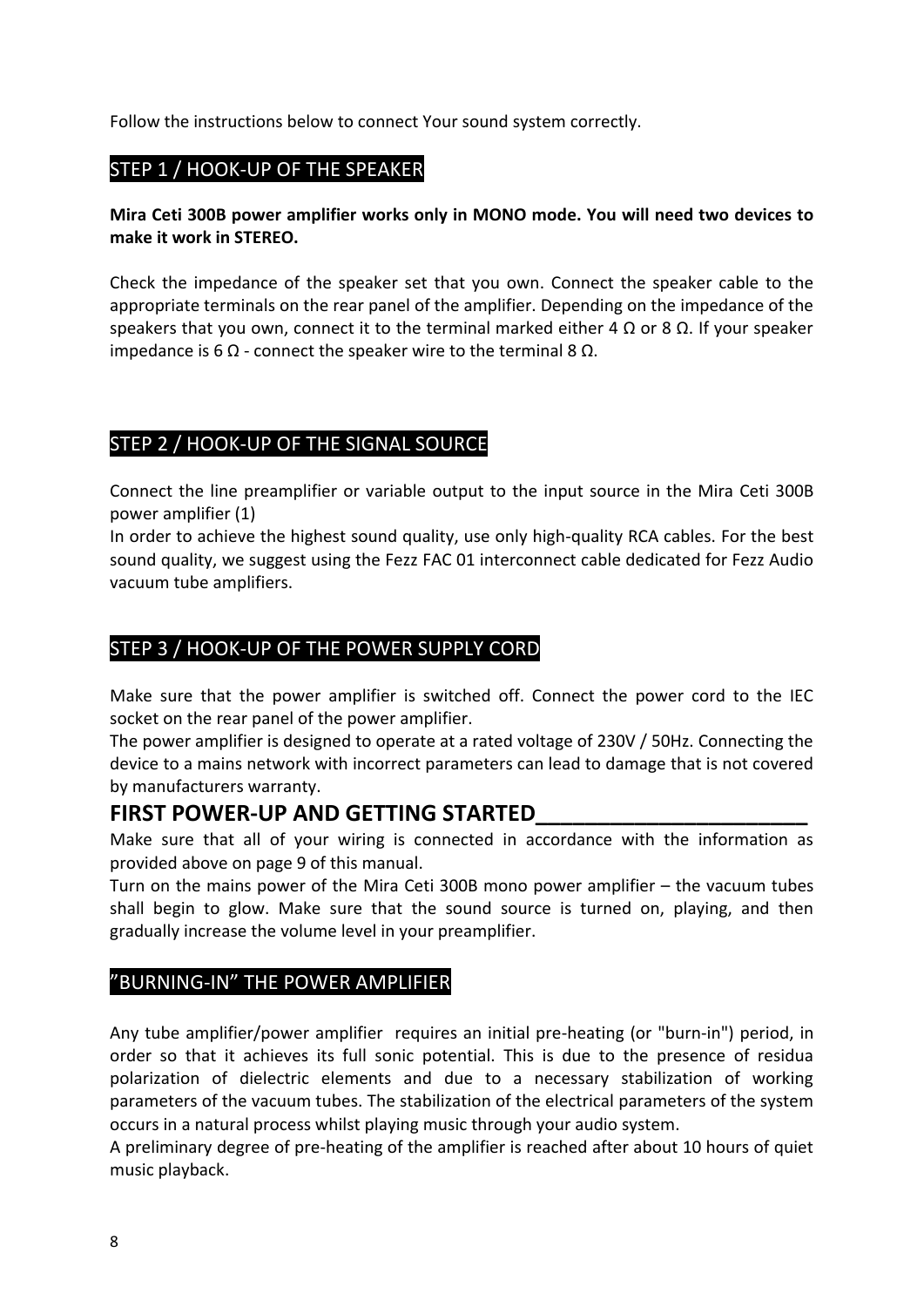Follow the instructions below to connect Your sound system correctly.

#### STEP 1 / HOOK-UP OF THE SPEAKER

#### **Mira Ceti 300B power amplifier works only in MONO mode. You will need two devices to make it work in STEREO.**

Check the impedance of the speaker set that you own. Connect the speaker cable to the appropriate terminals on the rear panel of the amplifier. Depending on the impedance of the speakers that you own, connect it to the terminal marked either 4 Ω or 8  $Ω$ . If your speaker impedance is 6 Ω - connect the speaker wire to the terminal 8  $Ω$ .

#### STEP 2 / HOOK-UP OF THE SIGNAL SOURCE

Connect the line preamplifier or variable output to the input source in the Mira Ceti 300B power amplifier (1)

In order to achieve the highest sound quality, use only high-quality RCA cables. For the best sound quality, we suggest using the Fezz FAC 01 interconnect cable dedicated for Fezz Audio vacuum tube amplifiers.

#### STEP 3 / HOOK-UP OF THE POWER SUPPLY CORD

Make sure that the power amplifier is switched off. Connect the power cord to the IEC socket on the rear panel of the power amplifier.

The power amplifier is designed to operate at a rated voltage of 230V / 50Hz. Connecting the device to a mains network with incorrect parameters can lead to damage that is not covered by manufacturers warranty.

#### **FIRST POWER-UP AND GETTING STARTED\_\_\_\_\_\_\_\_\_\_\_\_\_\_\_\_\_\_\_\_\_\_**

Make sure that all of your wiring is connected in accordance with the information as provided above on page 9 of this manual.

Turn on the mains power of the Mira Ceti 300B mono power amplifier – the vacuum tubes shall begin to glow. Make sure that the sound source is turned on, playing, and then gradually increase the volume level in your preamplifier.

#### "BURNING-IN" THE POWER AMPLIFIER

Any tube amplifier/power amplifier requires an initial pre-heating (or "burn-in") period, in order so that it achieves its full sonic potential. This is due to the presence of residua polarization of dielectric elements and due to a necessary stabilization of working parameters of the vacuum tubes. The stabilization of the electrical parameters of the system occurs in a natural process whilst playing music through your audio system.

A preliminary degree of pre-heating of the amplifier is reached after about 10 hours of quiet music playback.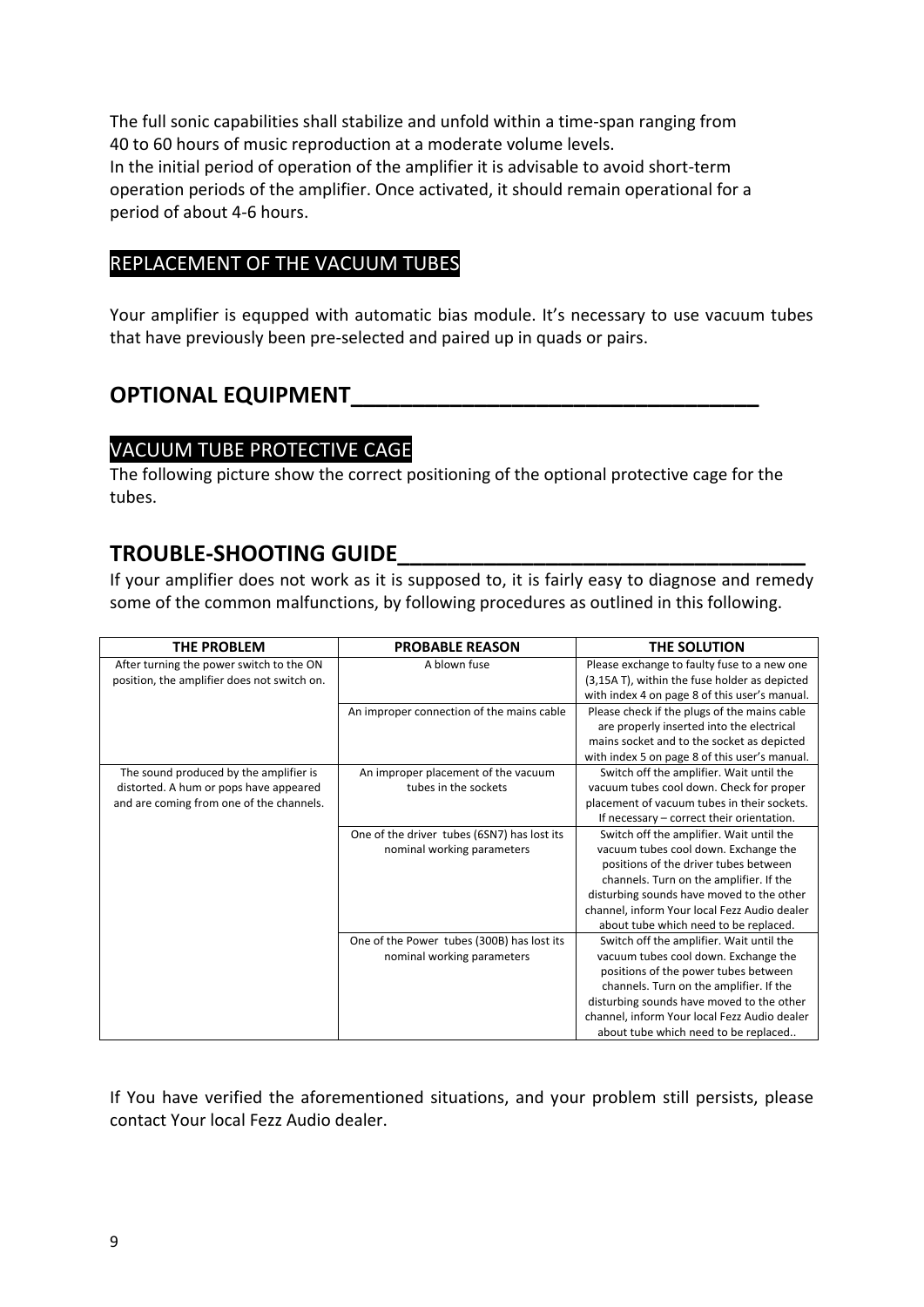The full sonic capabilities shall stabilize and unfold within a time-span ranging from 40 to 60 hours of music reproduction at a moderate volume levels. In the initial period of operation of the amplifier it is advisable to avoid short-term operation periods of the amplifier. Once activated, it should remain operational for a period of about 4-6 hours.

#### REPLACEMENT OF THE VACUUM TUBES

Your amplifier is equpped with automatic bias module. It's necessary to use vacuum tubes that have previously been pre-selected and paired up in quads or pairs.

#### **OPTIONAL EQUIPMENT\_\_\_\_\_\_\_\_\_\_\_\_\_\_\_\_\_\_\_\_\_\_\_\_\_\_\_\_\_\_\_\_\_**

#### VACUUM TUBE PROTECTIVE CAGE

The following picture show the correct positioning of the optional protective cage for the tubes.

#### **TROUBLE-SHOOTING GUIDE\_\_\_\_\_\_\_\_\_\_\_\_\_\_\_\_\_\_\_\_\_\_\_\_\_\_\_\_\_\_\_\_\_**

If your amplifier does not work as it is supposed to, it is fairly easy to diagnose and remedy some of the common malfunctions, by following procedures as outlined in this following.

| THE PROBLEM                                 | <b>PROBABLE REASON</b>                      | THE SOLUTION                                  |
|---------------------------------------------|---------------------------------------------|-----------------------------------------------|
| After turning the power switch to the ON    | A blown fuse                                | Please exchange to faulty fuse to a new one   |
| position, the amplifier does not switch on. |                                             | (3,15A T), within the fuse holder as depicted |
|                                             |                                             | with index 4 on page 8 of this user's manual. |
|                                             | An improper connection of the mains cable   | Please check if the plugs of the mains cable  |
|                                             |                                             | are properly inserted into the electrical     |
|                                             |                                             | mains socket and to the socket as depicted    |
|                                             |                                             | with index 5 on page 8 of this user's manual. |
| The sound produced by the amplifier is      | An improper placement of the vacuum         | Switch off the amplifier. Wait until the      |
| distorted. A hum or pops have appeared      | tubes in the sockets                        | vacuum tubes cool down. Check for proper      |
| and are coming from one of the channels.    |                                             | placement of vacuum tubes in their sockets.   |
|                                             |                                             | If necessary - correct their orientation.     |
|                                             | One of the driver tubes (6SN7) has lost its | Switch off the amplifier. Wait until the      |
|                                             | nominal working parameters                  | vacuum tubes cool down. Exchange the          |
|                                             |                                             | positions of the driver tubes between         |
|                                             |                                             | channels. Turn on the amplifier. If the       |
|                                             |                                             | disturbing sounds have moved to the other     |
|                                             |                                             | channel, inform Your local Fezz Audio dealer  |
|                                             |                                             | about tube which need to be replaced.         |
|                                             | One of the Power tubes (300B) has lost its  | Switch off the amplifier. Wait until the      |
|                                             | nominal working parameters                  | vacuum tubes cool down. Exchange the          |
|                                             |                                             | positions of the power tubes between          |
|                                             |                                             | channels. Turn on the amplifier. If the       |
|                                             |                                             | disturbing sounds have moved to the other     |
|                                             |                                             | channel, inform Your local Fezz Audio dealer  |
|                                             |                                             | about tube which need to be replaced          |

If You have verified the aforementioned situations, and your problem still persists, please contact Your local Fezz Audio dealer.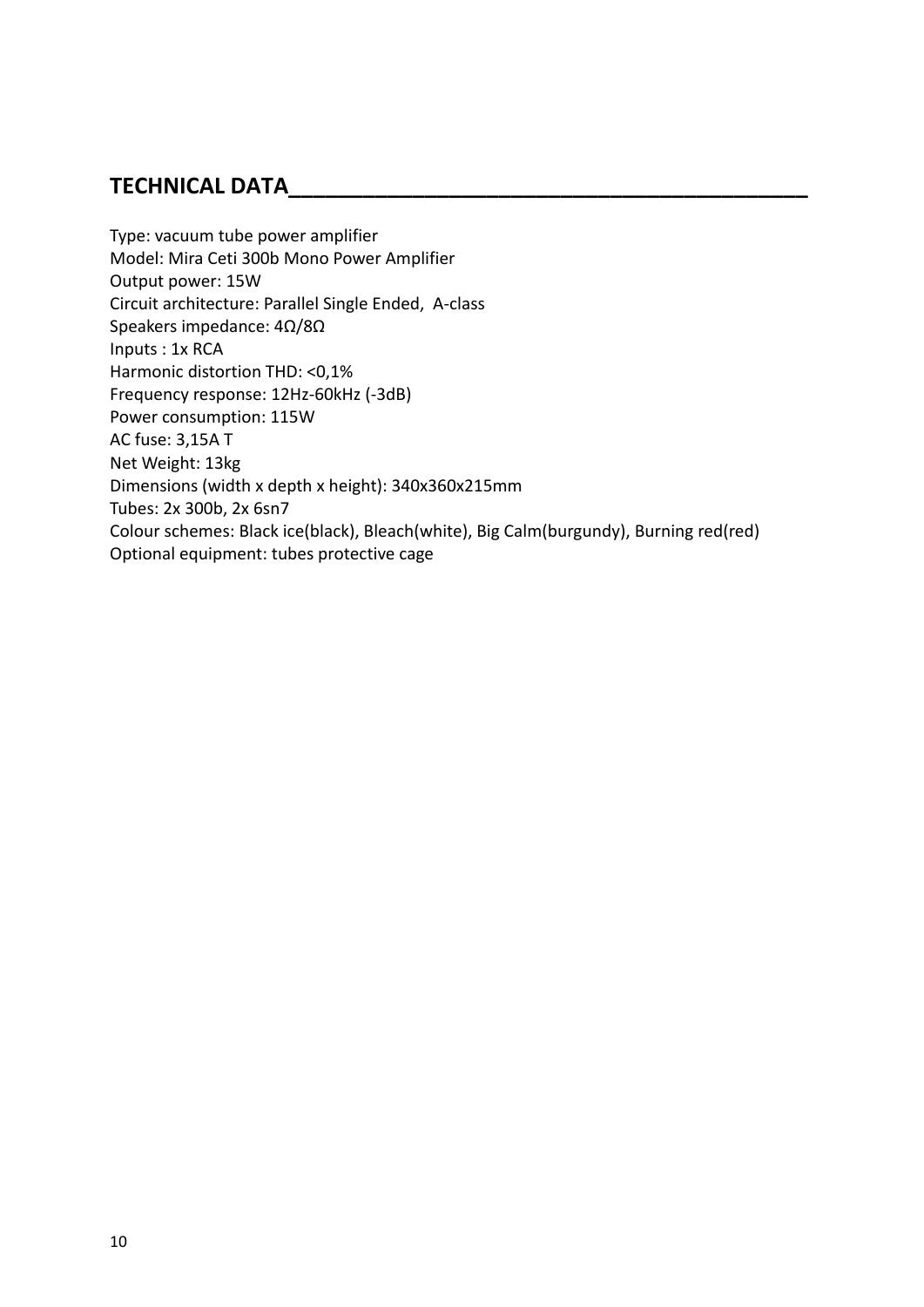#### **TECHNICAL DATA\_\_\_\_\_\_\_\_\_\_\_\_\_\_\_\_\_\_\_\_\_\_\_\_\_\_\_\_\_\_\_\_\_\_\_\_\_\_\_\_\_\_**

Type: vacuum tube power amplifier Model: Mira Ceti 300b Mono Power Amplifier Output power: 15W Circuit architecture: Parallel Single Ended, A-class Speakers impedance: 4Ω/8Ω Inputs : 1x RCA Harmonic distortion THD: <0,1% Frequency response: 12Hz-60kHz (-3dB) Power consumption: 115W AC fuse: 3,15A T Net Weight: 13kg Dimensions (width x depth x height): 340x360x215mm Tubes: 2x 300b, 2x 6sn7 Colour schemes: Black ice(black), Bleach(white), Big Calm(burgundy), Burning red(red) Optional equipment: tubes protective cage